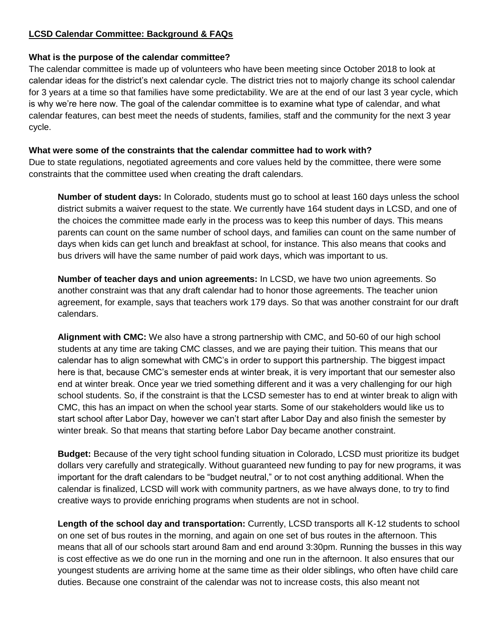## **LCSD Calendar Committee: Background & FAQs**

# **What is the purpose of the calendar committee?**

The calendar committee is made up of volunteers who have been meeting since October 2018 to look at calendar ideas for the district's next calendar cycle. The district tries not to majorly change its school calendar for 3 years at a time so that families have some predictability. We are at the end of our last 3 year cycle, which is why we're here now. The goal of the calendar committee is to examine what type of calendar, and what calendar features, can best meet the needs of students, families, staff and the community for the next 3 year cycle.

# **What were some of the constraints that the calendar committee had to work with?**

Due to state regulations, negotiated agreements and core values held by the committee, there were some constraints that the committee used when creating the draft calendars.

**Number of student days:** In Colorado, students must go to school at least 160 days unless the school district submits a waiver request to the state. We currently have 164 student days in LCSD, and one of the choices the committee made early in the process was to keep this number of days. This means parents can count on the same number of school days, and families can count on the same number of days when kids can get lunch and breakfast at school, for instance. This also means that cooks and bus drivers will have the same number of paid work days, which was important to us.

**Number of teacher days and union agreements:** In LCSD, we have two union agreements. So another constraint was that any draft calendar had to honor those agreements. The teacher union agreement, for example, says that teachers work 179 days. So that was another constraint for our draft calendars.

**Alignment with CMC:** We also have a strong partnership with CMC, and 50-60 of our high school students at any time are taking CMC classes, and we are paying their tuition. This means that our calendar has to align somewhat with CMC's in order to support this partnership. The biggest impact here is that, because CMC's semester ends at winter break, it is very important that our semester also end at winter break. Once year we tried something different and it was a very challenging for our high school students. So, if the constraint is that the LCSD semester has to end at winter break to align with CMC, this has an impact on when the school year starts. Some of our stakeholders would like us to start school after Labor Day, however we can't start after Labor Day and also finish the semester by winter break. So that means that starting before Labor Day became another constraint.

**Budget:** Because of the very tight school funding situation in Colorado, LCSD must prioritize its budget dollars very carefully and strategically. Without guaranteed new funding to pay for new programs, it was important for the draft calendars to be "budget neutral," or to not cost anything additional. When the calendar is finalized, LCSD will work with community partners, as we have always done, to try to find creative ways to provide enriching programs when students are not in school.

**Length of the school day and transportation:** Currently, LCSD transports all K-12 students to school on one set of bus routes in the morning, and again on one set of bus routes in the afternoon. This means that all of our schools start around 8am and end around 3:30pm. Running the busses in this way is cost effective as we do one run in the morning and one run in the afternoon. It also ensures that our youngest students are arriving home at the same time as their older siblings, who often have child care duties. Because one constraint of the calendar was not to increase costs, this also meant not